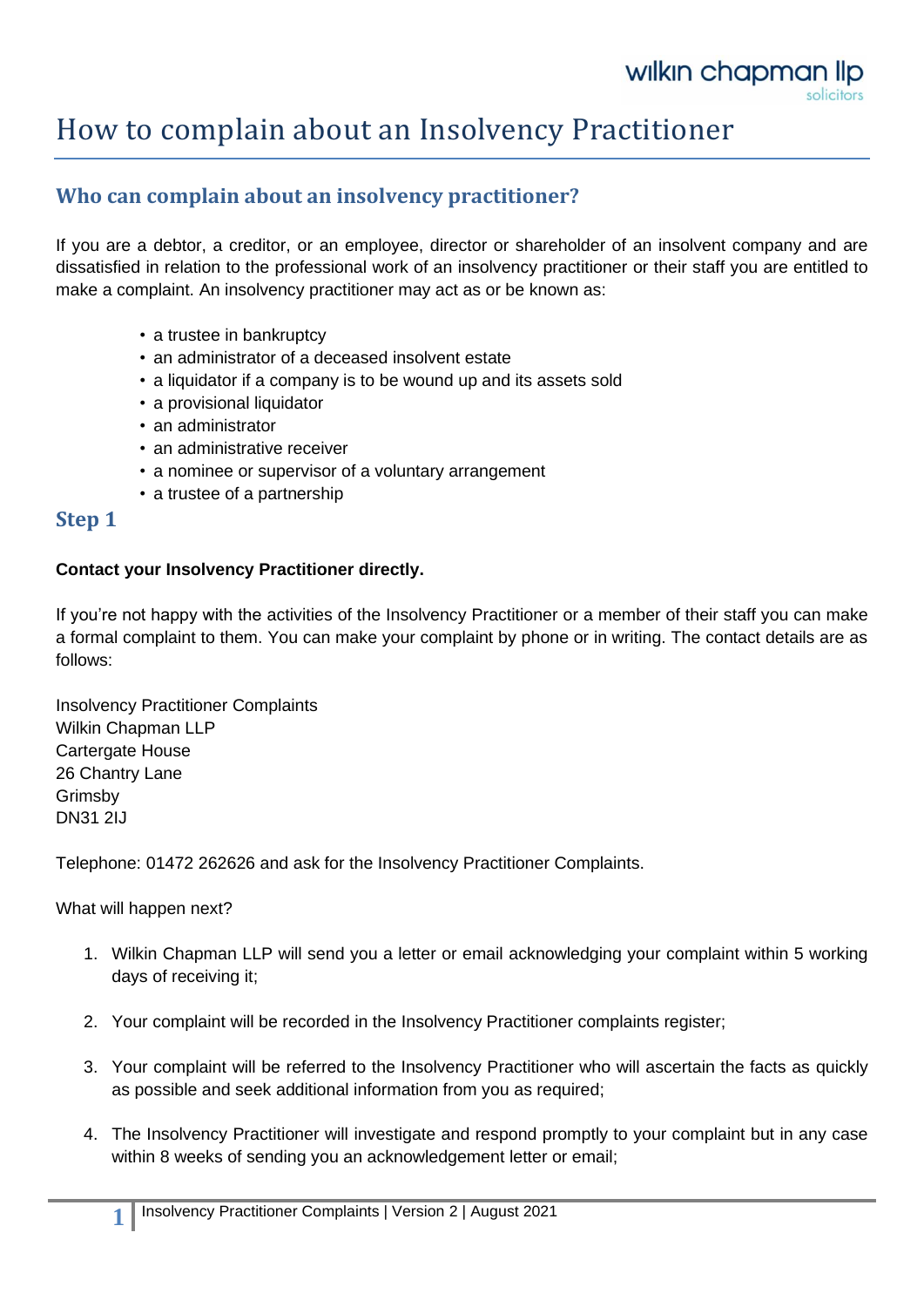## How to complain about an Insolvency Practitioner

## **Who can complain about an insolvency practitioner?**

If you are a debtor, a creditor, or an employee, director or shareholder of an insolvent company and are dissatisfied in relation to the professional work of an insolvency practitioner or their staff you are entitled to make a complaint. An insolvency practitioner may act as or be known as:

- a trustee in bankruptcy
- an administrator of a deceased insolvent estate
- a liquidator if a company is to be wound up and its assets sold
- a provisional liquidator
- an administrator
- an administrative receiver
- a nominee or supervisor of a voluntary arrangement
- a trustee of a partnership

#### **Step 1**

#### **Contact your Insolvency Practitioner directly.**

If you're not happy with the activities of the Insolvency Practitioner or a member of their staff you can make a formal complaint to them. You can make your complaint by phone or in writing. The contact details are as follows:

Insolvency Practitioner Complaints Wilkin Chapman LLP Cartergate House 26 Chantry Lane Grimsby DN31 2IJ

Telephone: 01472 262626 and ask for the Insolvency Practitioner Complaints.

What will happen next?

- 1. Wilkin Chapman LLP will send you a letter or email acknowledging your complaint within 5 working days of receiving it;
- 2. Your complaint will be recorded in the Insolvency Practitioner complaints register;
- 3. Your complaint will be referred to the Insolvency Practitioner who will ascertain the facts as quickly as possible and seek additional information from you as required;
- 4. The Insolvency Practitioner will investigate and respond promptly to your complaint but in any case within 8 weeks of sending you an acknowledgement letter or email;

**1**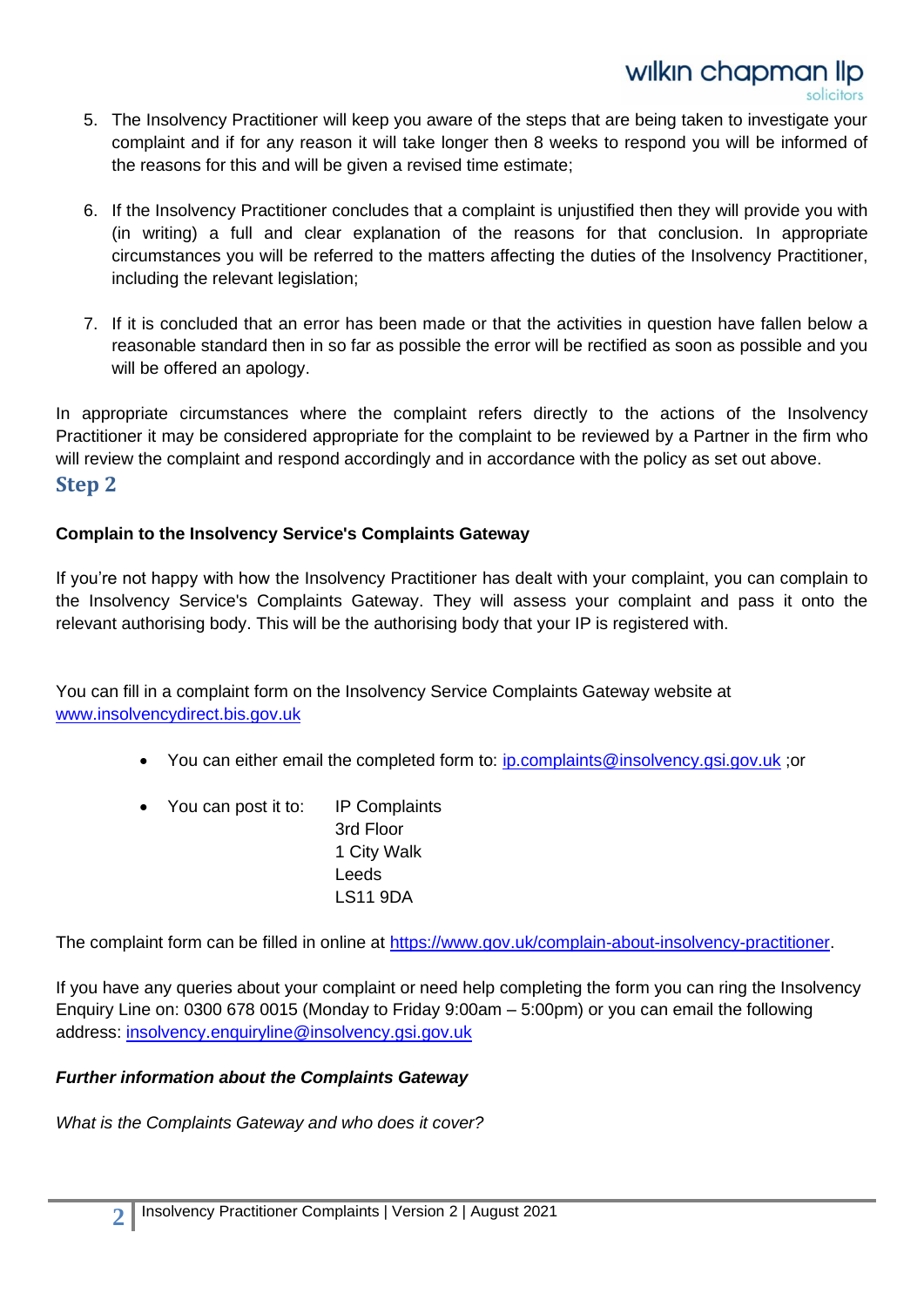- 5. The Insolvency Practitioner will keep you aware of the steps that are being taken to investigate your complaint and if for any reason it will take longer then 8 weeks to respond you will be informed of the reasons for this and will be given a revised time estimate;
- 6. If the Insolvency Practitioner concludes that a complaint is unjustified then they will provide you with (in writing) a full and clear explanation of the reasons for that conclusion. In appropriate circumstances you will be referred to the matters affecting the duties of the Insolvency Practitioner, including the relevant legislation;
- 7. If it is concluded that an error has been made or that the activities in question have fallen below a reasonable standard then in so far as possible the error will be rectified as soon as possible and you will be offered an apology.

In appropriate circumstances where the complaint refers directly to the actions of the Insolvency Practitioner it may be considered appropriate for the complaint to be reviewed by a Partner in the firm who will review the complaint and respond accordingly and in accordance with the policy as set out above. **Step 2**

#### **Complain to the Insolvency Service's Complaints Gateway**

If you're not happy with how the Insolvency Practitioner has dealt with your complaint, you can complain to the Insolvency Service's Complaints Gateway. They will assess your complaint and pass it onto the relevant authorising body. This will be the authorising body that your IP is registered with.

You can fill in a complaint form on the Insolvency Service Complaints Gateway website at [www.insolvencydirect.bis.gov.uk](http://www.insolvencydirect.bis.gov.uk/)

- You can either email the completed form to: [ip.complaints@insolvency.gsi.gov.uk](mailto:ip.complaints@insolvency.gsi.gov.uk) ;or
- You can post it to: IP Complaints
	- 3rd Floor 1 City Walk Leeds LS11 9DA

The complaint form can be filled in online at [https://www.gov.uk/complain-about-insolvency-practitioner.](https://www.gov.uk/complain-about-insolvency-practitioner)

If you have any queries about your complaint or need help completing the form you can ring the Insolvency Enquiry Line on: 0300 678 0015 (Monday to Friday 9:00am – 5:00pm) or you can email the following address: [insolvency.enquiryline@insolvency.gsi.gov.uk](mailto:insolvency.enquiryline@insolvency.gsi.gov.uk)

#### *Further information about the Complaints Gateway*

*What is the Complaints Gateway and who does it cover?*

**2**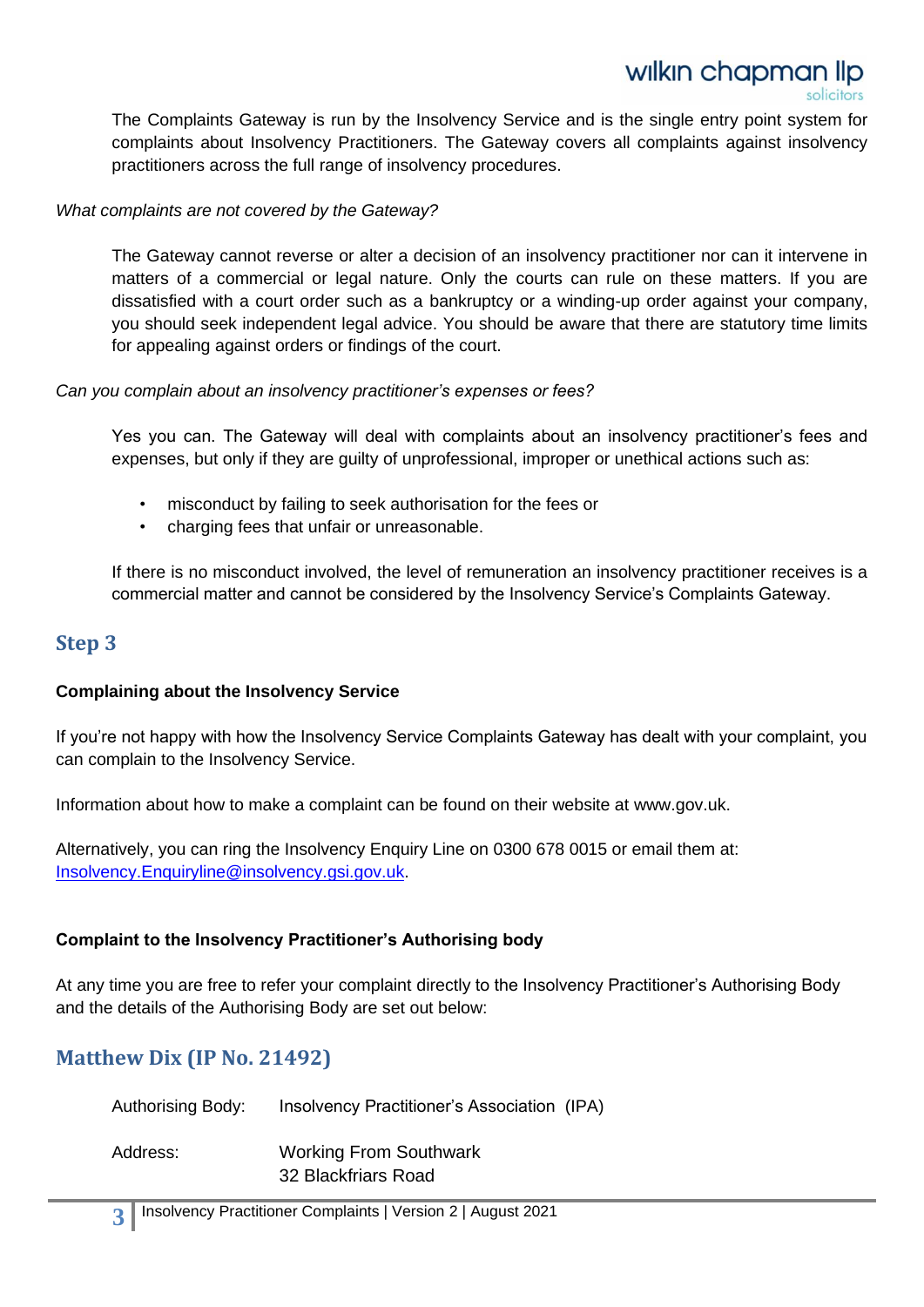# wilkin chapman lip

The Complaints Gateway is run by the Insolvency Service and is the single entry point system for complaints about Insolvency Practitioners. The Gateway covers all complaints against insolvency practitioners across the full range of insolvency procedures.

#### *What complaints are not covered by the Gateway?*

The Gateway cannot reverse or alter a decision of an insolvency practitioner nor can it intervene in matters of a commercial or legal nature. Only the courts can rule on these matters. If you are dissatisfied with a court order such as a bankruptcy or a winding-up order against your company, you should seek independent legal advice. You should be aware that there are statutory time limits for appealing against orders or findings of the court.

#### *Can you complain about an insolvency practitioner's expenses or fees?*

Yes you can. The Gateway will deal with complaints about an insolvency practitioner's fees and expenses, but only if they are guilty of unprofessional, improper or unethical actions such as:

- misconduct by failing to seek authorisation for the fees or
- charging fees that unfair or unreasonable.

If there is no misconduct involved, the level of remuneration an insolvency practitioner receives is a commercial matter and cannot be considered by the Insolvency Service's Complaints Gateway.

### **Step 3**

#### **Complaining about the Insolvency Service**

If you're not happy with how the Insolvency Service Complaints Gateway has dealt with your complaint, you can complain to the Insolvency Service.

Information about how to make a complaint can be found on their website at www.gov.uk.

Alternatively, you can ring the Insolvency Enquiry Line on 0300 678 0015 or email them at: [Insolvency.Enquiryline@insolvency.gsi.gov.uk.](mailto:Insolvency.Enquiryline@insolvency.gsi.gov.uk)

#### **Complaint to the Insolvency Practitioner's Authorising body**

At any time you are free to refer your complaint directly to the Insolvency Practitioner's Authorising Body and the details of the Authorising Body are set out below:

## **Matthew Dix (IP No. 21492)**

| <b>Authorising Body:</b> | Insolvency Practitioner's Association (IPA) |
|--------------------------|---------------------------------------------|
| Address:                 | <b>Working From Southwark</b>               |
|                          | 32 Blackfriars Road                         |